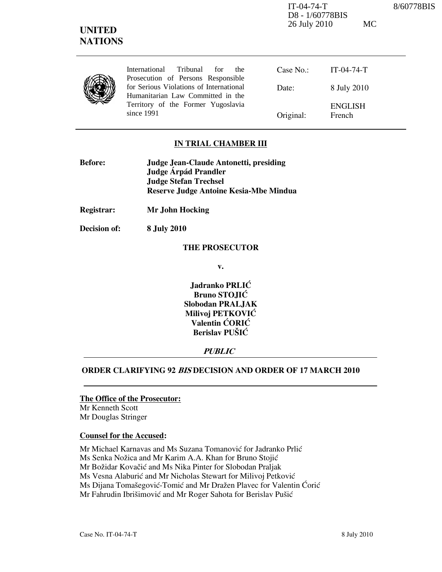IT-04-74-T 8/60778BIS D8 - 1/60778BIS 26 July 2010 MC

| <b>NATIONS</b> |                                                                               |           |                          |
|----------------|-------------------------------------------------------------------------------|-----------|--------------------------|
|                | International<br>Tribunal<br>for<br>the<br>Prosecution of Persons Responsible | Case No.  | $IT-04-74-T$             |
|                | for Serious Violations of International<br>Humanitarian Law Committed in the  | Date:     | 8 July 2010              |
|                | Territory of the Former Yugoslavia<br>since 1991                              | Original: | <b>ENGLISH</b><br>French |

#### IN TRIAL CHAMBER III

| <b>Before:</b> | Judge Jean-Claude Antonetti, presiding |  |
|----------------|----------------------------------------|--|
|                | Judge Árpád Prandler                   |  |
|                | <b>Judge Stefan Trechsel</b>           |  |
|                | Reserve Judge Antoine Kesia-Mbe Mindua |  |

Registrar: Mr John Hocking

Decision of: 8 July 2010

UNITED

#### THE PROSECUTOR

v.

Jadranko PRLIĆ Bruno STOJIĆ Slobodan PRALJAK Milivoj PETKOVIĆ Valentin ĆORIĆ Berislav PUŠIĆ

#### **PUBLIC**

#### ORDER CLARIFYING 92 BIS DECISION AND ORDER OF 17 MARCH 2010

## The Office of the Prosecutor:

Mr Kenneth Scott Mr Douglas Stringer

#### Counsel for the Accused:

Mr Michael Karnavas and Ms Suzana Tomanović for Jadranko Prlić

Ms Senka Nožica and Mr Karim A.A. Khan for Bruno Stojić

Mr Božidar Kovačić and Ms Nika Pinter for Slobodan Praljak

Ms Vesna Alaburić and Mr Nicholas Stewart for Milivoj Petković

Ms Dijana Tomašegović-Tomić and Mr Dražen Plavec for Valentin Ćorić

Mr Fahrudin Ibrišimović and Mr Roger Sahota for Berislav Pušić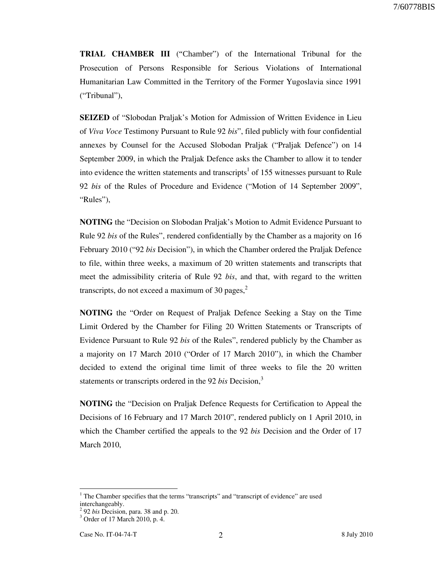TRIAL CHAMBER III ("Chamber") of the International Tribunal for the Prosecution of Persons Responsible for Serious Violations of International Humanitarian Law Committed in the Territory of the Former Yugoslavia since 1991 ("Tribunal"),

SEIZED of "Slobodan Praljak's Motion for Admission of Written Evidence in Lieu of Viva Voce Testimony Pursuant to Rule 92 bis", filed publicly with four confidential annexes by Counsel for the Accused Slobodan Praljak ("Praljak Defence") on 14 September 2009, in which the Praljak Defence asks the Chamber to allow it to tender into evidence the written statements and transcripts<sup>1</sup> of 155 witnesses pursuant to Rule 92 bis of the Rules of Procedure and Evidence ("Motion of 14 September 2009", "Rules"),

NOTING the "Decision on Slobodan Praljak's Motion to Admit Evidence Pursuant to Rule 92 bis of the Rules", rendered confidentially by the Chamber as a majority on 16 February 2010 ("92 bis Decision"), in which the Chamber ordered the Praljak Defence to file, within three weeks, a maximum of 20 written statements and transcripts that meet the admissibility criteria of Rule 92 bis, and that, with regard to the written transcripts, do not exceed a maximum of 30 pages, $^{2}$ 

NOTING the "Order on Request of Praljak Defence Seeking a Stay on the Time Limit Ordered by the Chamber for Filing 20 Written Statements or Transcripts of Evidence Pursuant to Rule 92 bis of the Rules", rendered publicly by the Chamber as a majority on 17 March 2010 ("Order of 17 March 2010"), in which the Chamber decided to extend the original time limit of three weeks to file the 20 written statements or transcripts ordered in the 92 bis Decision, $3$ 

NOTING the "Decision on Praljak Defence Requests for Certification to Appeal the Decisions of 16 February and 17 March 2010", rendered publicly on 1 April 2010, in which the Chamber certified the appeals to the 92 bis Decision and the Order of 17 March 2010,

-

 $<sup>1</sup>$  The Chamber specifies that the terms "transcripts" and "transcript of evidence" are used</sup> interchangeably.

<sup>2</sup> 92 bis Decision, para. 38 and p. 20.

<sup>3</sup> Order of 17 March 2010, p. 4.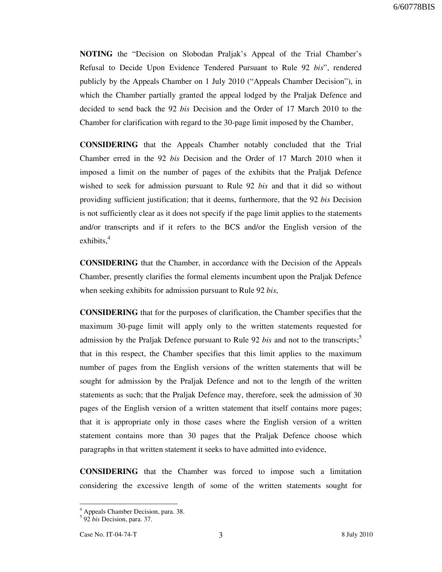NOTING the "Decision on Slobodan Praljak's Appeal of the Trial Chamber's Refusal to Decide Upon Evidence Tendered Pursuant to Rule 92 bis", rendered publicly by the Appeals Chamber on 1 July 2010 ("Appeals Chamber Decision"), in which the Chamber partially granted the appeal lodged by the Praljak Defence and decided to send back the 92 bis Decision and the Order of 17 March 2010 to the Chamber for clarification with regard to the 30-page limit imposed by the Chamber,

CONSIDERING that the Appeals Chamber notably concluded that the Trial Chamber erred in the 92 bis Decision and the Order of 17 March 2010 when it imposed a limit on the number of pages of the exhibits that the Praljak Defence wished to seek for admission pursuant to Rule 92 bis and that it did so without providing sufficient justification; that it deems, furthermore, that the 92 bis Decision is not sufficiently clear as it does not specify if the page limit applies to the statements and/or transcripts and if it refers to the BCS and/or the English version of the exhibits. $4$ 

CONSIDERING that the Chamber, in accordance with the Decision of the Appeals Chamber, presently clarifies the formal elements incumbent upon the Praljak Defence when seeking exhibits for admission pursuant to Rule 92 bis,

CONSIDERING that for the purposes of clarification, the Chamber specifies that the maximum 30-page limit will apply only to the written statements requested for admission by the Praljak Defence pursuant to Rule 92 bis and not to the transcripts;<sup>5</sup> that in this respect, the Chamber specifies that this limit applies to the maximum number of pages from the English versions of the written statements that will be sought for admission by the Praljak Defence and not to the length of the written statements as such; that the Praljak Defence may, therefore, seek the admission of 30 pages of the English version of a written statement that itself contains more pages; that it is appropriate only in those cases where the English version of a written statement contains more than 30 pages that the Praljak Defence choose which paragraphs in that written statement it seeks to have admitted into evidence,

CONSIDERING that the Chamber was forced to impose such a limitation considering the excessive length of some of the written statements sought for

 4 Appeals Chamber Decision, para. 38. 5 92 bis Decision, para. 37.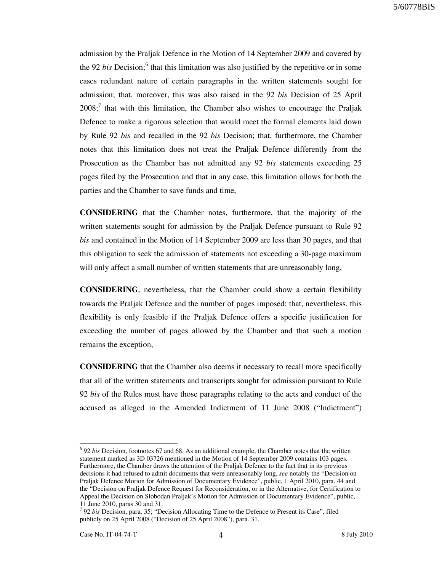admission by the Praljak Defence in the Motion of 14 September 2009 and covered by the 92 bis Decision;<sup>6</sup> that this limitation was also justified by the repetitive or in some cases redundant nature of certain paragraphs in the written statements sought for admission; that, moreover, this was also raised in the 92 bis Decision of 25 April  $2008$ ; that with this limitation, the Chamber also wishes to encourage the Praljak Defence to make a rigorous selection that would meet the formal elements laid down by Rule 92 bis and recalled in the 92 bis Decision; that, furthermore, the Chamber notes that this limitation does not treat the Praljak Defence differently from the Prosecution as the Chamber has not admitted any 92 bis statements exceeding 25 pages filed by the Prosecution and that in any case, this limitation allows for both the parties and the Chamber to save funds and time,

CONSIDERING that the Chamber notes, furthermore, that the majority of the written statements sought for admission by the Praljak Defence pursuant to Rule 92 bis and contained in the Motion of 14 September 2009 are less than 30 pages, and that this obligation to seek the admission of statements not exceeding a 30-page maximum will only affect a small number of written statements that are unreasonably long,

CONSIDERING, nevertheless, that the Chamber could show a certain flexibility towards the Praljak Defence and the number of pages imposed; that, nevertheless, this flexibility is only feasible if the Praljak Defence offers a specific justification for exceeding the number of pages allowed by the Chamber and that such a motion remains the exception,

CONSIDERING that the Chamber also deems it necessary to recall more specifically that all of the written statements and transcripts sought for admission pursuant to Rule 92 bis of the Rules must have those paragraphs relating to the acts and conduct of the accused as alleged in the Amended Indictment of 11 June 2008 ("Indictment")

-

 $6$  92 bis Decision, footnotes 67 and 68. As an additional example, the Chamber notes that the written statement marked as 3D 03726 mentioned in the Motion of 14 September 2009 contains 103 pages. Furthermore, the Chamber draws the attention of the Praljak Defence to the fact that in its previous decisions it had refused to admit documents that were unreasonably long, see notably the "Decision on Praljak Defence Motion for Admission of Documentary Evidence", public, 1 April 2010, para. 44 and the "Decision on Praljak Defence Request for Reconsideration, or in the Alternative, for Certification to Appeal the Decision on Slobodan Praljak's Motion for Admission of Documentary Evidence", public, 11 June 2010, paras 30 and 31.

 $7$  92 bis Decision, para. 35; "Decision Allocating Time to the Defence to Present its Case", filed publicly on 25 April 2008 ("Decision of 25 April 2008"), para. 31.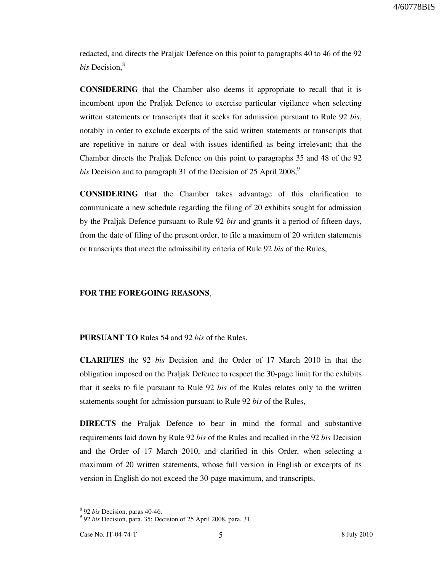redacted, and directs the Praljak Defence on this point to paragraphs 40 to 46 of the 92  $bis$  Decision. $8$ 

CONSIDERING that the Chamber also deems it appropriate to recall that it is incumbent upon the Praljak Defence to exercise particular vigilance when selecting written statements or transcripts that it seeks for admission pursuant to Rule 92 bis, notably in order to exclude excerpts of the said written statements or transcripts that are repetitive in nature or deal with issues identified as being irrelevant; that the Chamber directs the Praljak Defence on this point to paragraphs 35 and 48 of the 92 bis Decision and to paragraph 31 of the Decision of 25 April 2008,<sup>9</sup>

CONSIDERING that the Chamber takes advantage of this clarification to communicate a new schedule regarding the filing of 20 exhibits sought for admission by the Praljak Defence pursuant to Rule 92 *bis* and grants it a period of fifteen days, from the date of filing of the present order, to file a maximum of 20 written statements or transcripts that meet the admissibility criteria of Rule 92 *bis* of the Rules,

#### FOR THE FOREGOING REASONS,

PURSUANT TO Rules 54 and 92 bis of the Rules.

CLARIFIES the 92 bis Decision and the Order of 17 March 2010 in that the obligation imposed on the Praljak Defence to respect the 30-page limit for the exhibits that it seeks to file pursuant to Rule 92 bis of the Rules relates only to the written statements sought for admission pursuant to Rule 92 bis of the Rules,

DIRECTS the Praljak Defence to bear in mind the formal and substantive requirements laid down by Rule 92 bis of the Rules and recalled in the 92 bis Decision and the Order of 17 March 2010, and clarified in this Order, when selecting a maximum of 20 written statements, whose full version in English or excerpts of its version in English do not exceed the 30-page maximum, and transcripts,

-

<sup>&</sup>lt;sup>8</sup> 92 *bis* Decision, paras 40-46.

<sup>&</sup>lt;sup>9</sup> 92 bis Decision, para. 35; Decision of 25 April 2008, para. 31.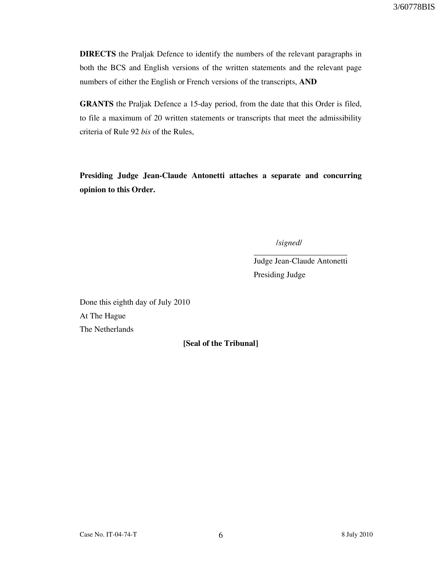DIRECTS the Praljak Defence to identify the numbers of the relevant paragraphs in both the BCS and English versions of the written statements and the relevant page numbers of either the English or French versions of the transcripts, AND

GRANTS the Praljak Defence a 15-day period, from the date that this Order is filed, to file a maximum of 20 written statements or transcripts that meet the admissibility criteria of Rule 92 bis of the Rules,

Presiding Judge Jean-Claude Antonetti attaches a separate and concurring opinion to this Order.

/signed/

Judge Jean-Claude Antonetti Presiding Judge

\_\_\_\_\_\_\_\_\_\_\_\_\_\_\_\_\_\_\_\_\_\_\_

Done this eighth day of July 2010 At The Hague The Netherlands

### [Seal of the Tribunal]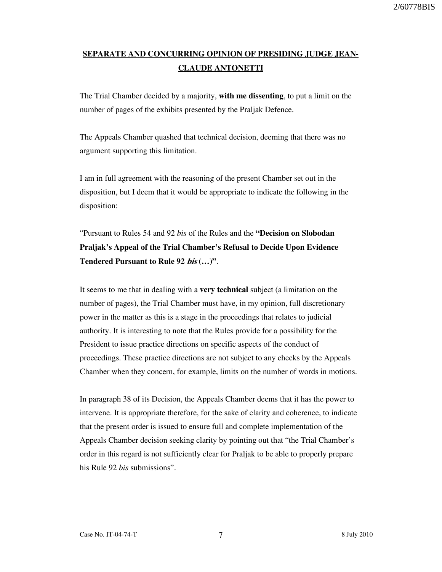# SEPARATE AND CONCURRING OPINION OF PRESIDING JUDGE JEAN-CLAUDE ANTONETTI

The Trial Chamber decided by a majority, with me dissenting, to put a limit on the number of pages of the exhibits presented by the Praljak Defence.

The Appeals Chamber quashed that technical decision, deeming that there was no argument supporting this limitation.

I am in full agreement with the reasoning of the present Chamber set out in the disposition, but I deem that it would be appropriate to indicate the following in the disposition:

"Pursuant to Rules 54 and 92 bis of the Rules and the "Decision on Slobodan Praljak's Appeal of the Trial Chamber's Refusal to Decide Upon Evidence Tendered Pursuant to Rule 92 *bis* (...)".

It seems to me that in dealing with a very technical subject (a limitation on the number of pages), the Trial Chamber must have, in my opinion, full discretionary power in the matter as this is a stage in the proceedings that relates to judicial authority. It is interesting to note that the Rules provide for a possibility for the President to issue practice directions on specific aspects of the conduct of proceedings. These practice directions are not subject to any checks by the Appeals Chamber when they concern, for example, limits on the number of words in motions.

In paragraph 38 of its Decision, the Appeals Chamber deems that it has the power to intervene. It is appropriate therefore, for the sake of clarity and coherence, to indicate that the present order is issued to ensure full and complete implementation of the Appeals Chamber decision seeking clarity by pointing out that "the Trial Chamber's order in this regard is not sufficiently clear for Praljak to be able to properly prepare his Rule 92 *bis* submissions".